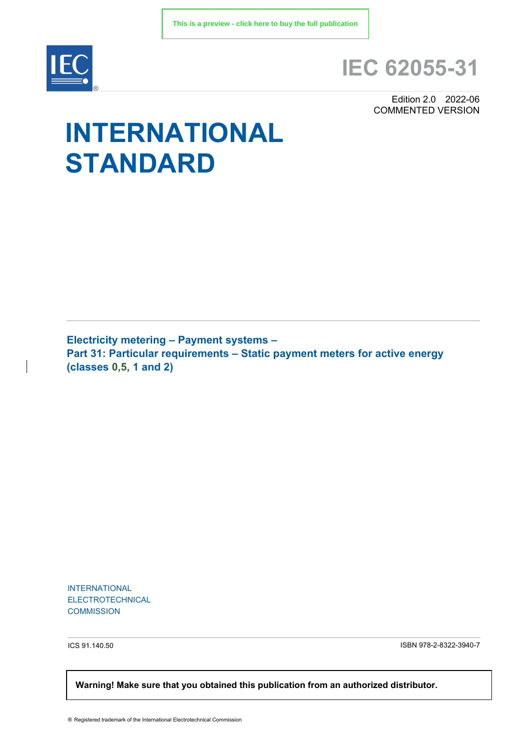

## **IEC 62055-31**

Edition 2.0 2022-06 COMMENTED VERSION

# **INTERNATIONAL STANDARD**

**Electricity metering – Payment systems – Part 31: Particular requirements – Static payment meters for active energy (classes 0,5, 1 and 2)** 

INTERNATIONAL ELECTROTECHNICAL **COMMISSION** 

ICS 91.140.50 ISBN 978-2-8322-3940-7

 **Warning! Make sure that you obtained this publication from an authorized distributor.**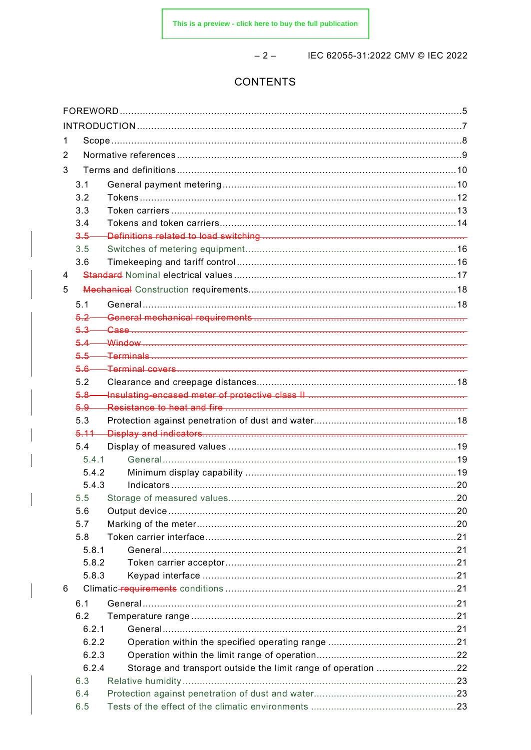$-2-$ 

IEC 62055-31:2022 CMV © IEC 2022

### **CONTENTS**

| 1 |                |                                                               |  |  |
|---|----------------|---------------------------------------------------------------|--|--|
| 2 |                |                                                               |  |  |
| 3 |                |                                                               |  |  |
|   | 3.1            |                                                               |  |  |
|   | 3.2            |                                                               |  |  |
|   | 3.3            |                                                               |  |  |
|   | 3.4            |                                                               |  |  |
|   | $3.5 -$        |                                                               |  |  |
|   | 3.5            |                                                               |  |  |
|   | 3.6            |                                                               |  |  |
| 4 |                |                                                               |  |  |
| 5 |                |                                                               |  |  |
|   |                |                                                               |  |  |
|   | 5.1            |                                                               |  |  |
|   | $5-3$          |                                                               |  |  |
|   |                |                                                               |  |  |
|   |                |                                                               |  |  |
|   | $5.6 -$        |                                                               |  |  |
|   | 5.2            |                                                               |  |  |
|   | $5.8-$         |                                                               |  |  |
|   |                |                                                               |  |  |
|   |                |                                                               |  |  |
|   | $5.9 -$        |                                                               |  |  |
|   | 5.3            |                                                               |  |  |
|   | $5.11 -$       |                                                               |  |  |
|   | 5.4            |                                                               |  |  |
|   | 5.4.1          |                                                               |  |  |
|   | 5.4.2<br>5.4.3 |                                                               |  |  |
|   |                |                                                               |  |  |
|   | 5.5<br>5.6     |                                                               |  |  |
|   | 5.7            |                                                               |  |  |
|   | 5.8            |                                                               |  |  |
|   |                |                                                               |  |  |
|   | 5.8.1<br>5.8.2 |                                                               |  |  |
|   | 5.8.3          |                                                               |  |  |
| 6 |                |                                                               |  |  |
|   |                |                                                               |  |  |
|   | 6.1            |                                                               |  |  |
|   | 6.2            |                                                               |  |  |
|   | 6.2.1<br>6.2.2 |                                                               |  |  |
|   | 6.2.3          |                                                               |  |  |
|   | 6.2.4          |                                                               |  |  |
|   | 6.3            | Storage and transport outside the limit range of operation 22 |  |  |
|   | 6.4            |                                                               |  |  |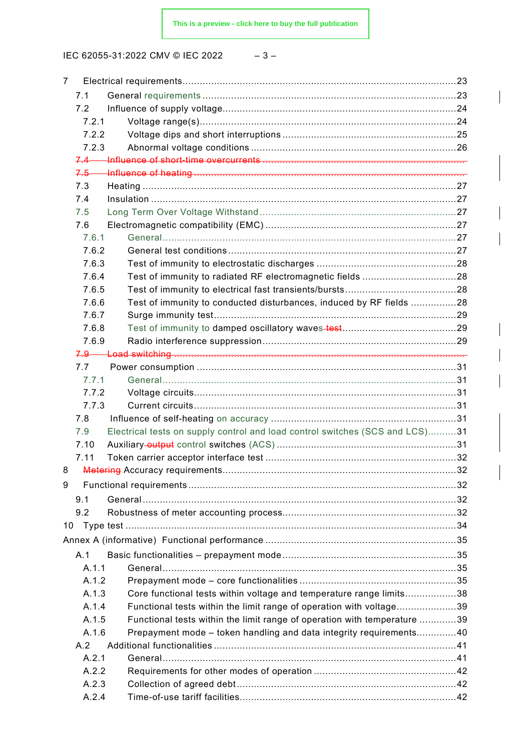IEC 62055-31:2022 CMV © IEC 2022

| 7  |       |                                                                                                      |  |
|----|-------|------------------------------------------------------------------------------------------------------|--|
|    | 7.1   |                                                                                                      |  |
|    | 7.2   |                                                                                                      |  |
|    | 7.2.1 |                                                                                                      |  |
|    | 7.2.2 |                                                                                                      |  |
|    | 7.2.3 |                                                                                                      |  |
|    |       |                                                                                                      |  |
|    |       | 7.5 http://www.martial.com/martial.com/martial.com/martial.com/martial.com/martial.com/martial.com/m |  |
|    | 7.3   |                                                                                                      |  |
|    | 7.4   |                                                                                                      |  |
|    | 7.5   |                                                                                                      |  |
|    | 7.6   |                                                                                                      |  |
|    | 7.6.1 |                                                                                                      |  |
|    | 7.6.2 |                                                                                                      |  |
|    | 7.6.3 |                                                                                                      |  |
|    | 7.6.4 | Test of immunity to radiated RF electromagnetic fields 28                                            |  |
|    | 7.6.5 |                                                                                                      |  |
|    | 7.6.6 | Test of immunity to conducted disturbances, induced by RF fields 28                                  |  |
|    | 7.6.7 |                                                                                                      |  |
|    | 7.6.8 |                                                                                                      |  |
|    | 7.6.9 |                                                                                                      |  |
|    |       |                                                                                                      |  |
|    | 7.7   |                                                                                                      |  |
|    | 7.7.1 |                                                                                                      |  |
|    |       |                                                                                                      |  |
|    | 7.7.2 |                                                                                                      |  |
|    | 7.7.3 |                                                                                                      |  |
|    | 7.8   |                                                                                                      |  |
|    | 7.9   | Electrical tests on supply control and load control switches (SCS and LCS)31                         |  |
|    | 7.10  |                                                                                                      |  |
|    | 7.11  |                                                                                                      |  |
| 8  |       | Metering Accuracy requirements………………………………………………………………………32                                          |  |
| 9  |       |                                                                                                      |  |
|    | 9.1   |                                                                                                      |  |
|    | 9.2   |                                                                                                      |  |
| 10 |       |                                                                                                      |  |
|    |       |                                                                                                      |  |
|    | A.1   |                                                                                                      |  |
|    | A.1.1 |                                                                                                      |  |
|    | A.1.2 |                                                                                                      |  |
|    | A.1.3 | Core functional tests within voltage and temperature range limits38                                  |  |
|    | A.1.4 | Functional tests within the limit range of operation with voltage39                                  |  |
|    | A.1.5 | Functional tests within the limit range of operation with temperature 39                             |  |
|    | A.1.6 | Prepayment mode - token handling and data integrity requirements40                                   |  |
|    | A.2   |                                                                                                      |  |
|    | A.2.1 |                                                                                                      |  |
|    | A.2.2 |                                                                                                      |  |
|    | A.2.3 |                                                                                                      |  |
|    |       |                                                                                                      |  |
|    | A.2.4 |                                                                                                      |  |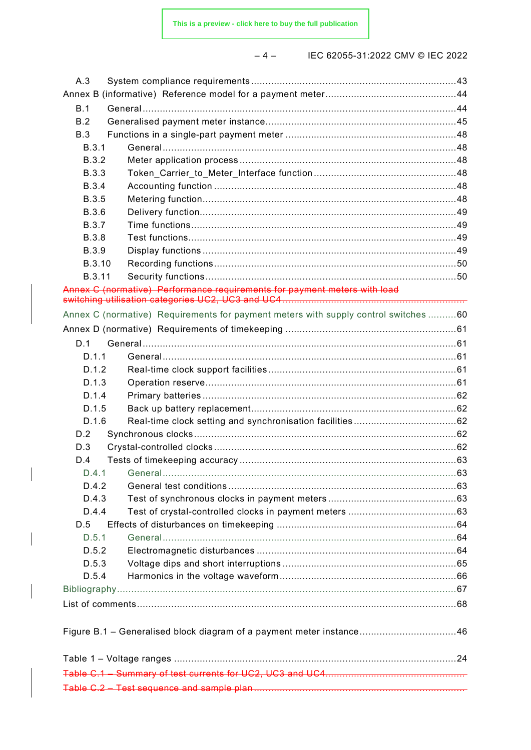IEC 62055-31:2022 CMV © IEC 2022  $-4-$ 

| A.3                                                                  |                                                                                     |  |
|----------------------------------------------------------------------|-------------------------------------------------------------------------------------|--|
|                                                                      |                                                                                     |  |
| B.1                                                                  |                                                                                     |  |
| B.2                                                                  |                                                                                     |  |
| <b>B.3</b>                                                           |                                                                                     |  |
| B.3.1                                                                |                                                                                     |  |
| <b>B.3.2</b>                                                         |                                                                                     |  |
| <b>B.3.3</b>                                                         |                                                                                     |  |
| <b>B.3.4</b>                                                         |                                                                                     |  |
| <b>B.3.5</b>                                                         |                                                                                     |  |
| <b>B.3.6</b>                                                         |                                                                                     |  |
| <b>B.3.7</b>                                                         |                                                                                     |  |
| <b>B.3.8</b>                                                         |                                                                                     |  |
| <b>B.3.9</b>                                                         |                                                                                     |  |
| B.3.10                                                               |                                                                                     |  |
| B.3.11                                                               |                                                                                     |  |
|                                                                      | Annex C (normative) Performance requirements for payment meters with load           |  |
|                                                                      | Annex C (normative) Requirements for payment meters with supply control switches 60 |  |
|                                                                      |                                                                                     |  |
| D.1                                                                  |                                                                                     |  |
| D.1.1                                                                |                                                                                     |  |
| D.1.2                                                                |                                                                                     |  |
| D.1.3                                                                |                                                                                     |  |
| D.1.4                                                                |                                                                                     |  |
| D.1.5                                                                |                                                                                     |  |
| D.1.6                                                                |                                                                                     |  |
| D.2                                                                  |                                                                                     |  |
| D.3                                                                  |                                                                                     |  |
| D.4                                                                  |                                                                                     |  |
| D.4.1                                                                |                                                                                     |  |
| D.4.2                                                                |                                                                                     |  |
| D.4.3                                                                |                                                                                     |  |
| D.4.4                                                                |                                                                                     |  |
| D.5                                                                  |                                                                                     |  |
| D.5.1                                                                |                                                                                     |  |
| D.5.2                                                                |                                                                                     |  |
| D.5.3                                                                |                                                                                     |  |
| D.5.4                                                                |                                                                                     |  |
|                                                                      |                                                                                     |  |
|                                                                      |                                                                                     |  |
| Figure B.1 - Generalised block diagram of a payment meter instance46 |                                                                                     |  |
|                                                                      |                                                                                     |  |
|                                                                      |                                                                                     |  |
|                                                                      |                                                                                     |  |
|                                                                      |                                                                                     |  |

 $\begin{array}{c} \hline \end{array}$ 

 $\overline{\phantom{a}}$ 

 $\Bigg]$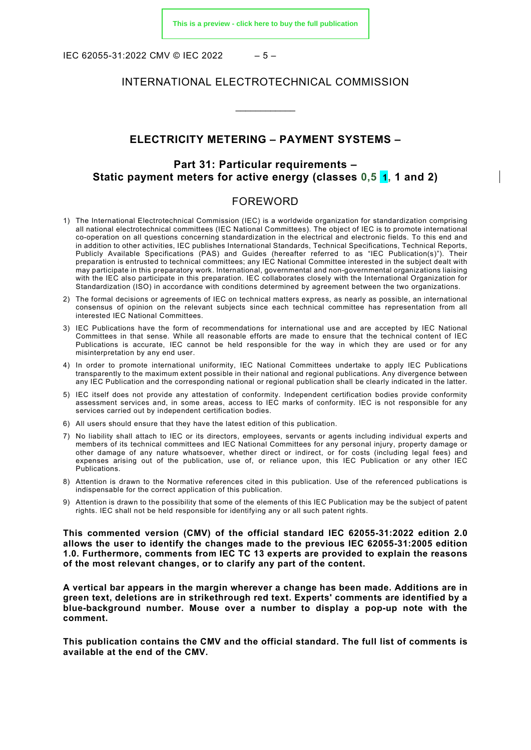IEC 62055-31:2022 CMV © IEC 2022 – 5 –

#### INTERNATIONAL ELECTROTECHNICAL COMMISSION

\_\_\_\_\_\_\_\_\_\_\_\_

#### **ELECTRICITY METERING – PAYMENT SYSTEMS –**

#### **Part 31: Particular requirements – Static payment meters for active energy (classes 0,5 1, 1 and 2)**

#### FOREWORD

- <span id="page-4-0"></span>1) The International Electrotechnical Commission (IEC) is a worldwide organization for standardization comprising all national electrotechnical committees (IEC National Committees). The object of IEC is to promote international co-operation on all questions concerning standardization in the electrical and electronic fields. To this end and in addition to other activities, IEC publishes International Standards, Technical Specifications, Technical Reports, Publicly Available Specifications (PAS) and Guides (hereafter referred to as "IEC Publication(s)"). Their preparation is entrusted to technical committees; any IEC National Committee interested in the subject dealt with may participate in this preparatory work. International, governmental and non-governmental organizations liaising with the IEC also participate in this preparation. IEC collaborates closely with the International Organization for Standardization (ISO) in accordance with conditions determined by agreement between the two organizations.
- 2) The formal decisions or agreements of IEC on technical matters express, as nearly as possible, an international consensus of opinion on the relevant subjects since each technical committee has representation from all interested IEC National Committees.
- 3) IEC Publications have the form of recommendations for international use and are accepted by IEC National Committees in that sense. While all reasonable efforts are made to ensure that the technical content of IEC Publications is accurate, IEC cannot be held responsible for the way in which they are used or for any misinterpretation by any end user.
- 4) In order to promote international uniformity, IEC National Committees undertake to apply IEC Publications transparently to the maximum extent possible in their national and regional publications. Any divergence between any IEC Publication and the corresponding national or regional publication shall be clearly indicated in the latter.
- 5) IEC itself does not provide any attestation of conformity. Independent certification bodies provide conformity assessment services and, in some areas, access to IEC marks of conformity. IEC is not responsible for any services carried out by independent certification bodies.
- 6) All users should ensure that they have the latest edition of this publication.
- 7) No liability shall attach to IEC or its directors, employees, servants or agents including individual experts and members of its technical committees and IEC National Committees for any personal injury, property damage or other damage of any nature whatsoever, whether direct or indirect, or for costs (including legal fees) and expenses arising out of the publication, use of, or reliance upon, this IEC Publication or any other IEC **Publications**
- 8) Attention is drawn to the Normative references cited in this publication. Use of the referenced publications is indispensable for the correct application of this publication.
- 9) Attention is drawn to the possibility that some of the elements of this IEC Publication may be the subject of patent rights. IEC shall not be held responsible for identifying any or all such patent rights.

**This commented version (CMV) of the official standard IEC 62055-31:2022 edition 2.0 allows the user to identify the changes made to the previous IEC 62055-31:2005 edition 1.0. Furthermore, comments from IEC TC 13 experts are provided to explain the reasons of the most relevant changes, or to clarify any part of the content.**

**A vertical bar appears in the margin wherever a change has been made. Additions are in green text, deletions are in strikethrough red text. Experts' comments are identified by a blue-background number. Mouse over a number to display a pop-up note with the comment.**

**This publication contains the CMV and the official standard. The full list of comments is available at the end of the CMV.**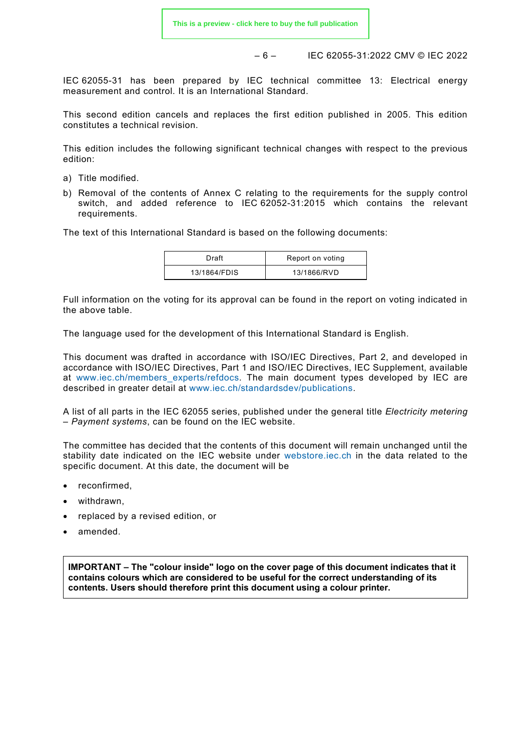– 6 – IEC 62055-31:2022 CMV © IEC 2022

IEC 62055-31 has been prepared by IEC technical committee 13: Electrical energy measurement and control. It is an International Standard.

This second edition cancels and replaces the first edition published in 2005. This edition constitutes a technical revision.

This edition includes the following significant technical changes with respect to the previous edition:

- a) Title modified.
- b) Removal of the contents of Annex C relating to the requirements for the supply control switch, and added reference to IEC 62052-31:2015 which contains the relevant requirements.

The text of this International Standard is based on the following documents:

| Draft        | Report on voting |
|--------------|------------------|
| 13/1864/FDIS | 13/1866/RVD      |

Full information on the voting for its approval can be found in the report on voting indicated in the above table.

The language used for the development of this International Standard is English.

This document was drafted in accordance with ISO/IEC Directives, Part 2, and developed in accordance with ISO/IEC Directives, Part 1 and ISO/IEC Directives, IEC Supplement, available at www.iec.ch/members experts/refdocs. The main document types developed by IEC are described in greater detail at [www.iec.ch/standardsdev/publications.](http://www.iec.ch/standardsdev/publications)

A list of all parts in the IEC 62055 series, published under the general title *Electricity metering – Payment systems*, can be found on the IEC website.

The committee has decided that the contents of this document will remain unchanged until the stability date indicated on the IEC website under [webstore.iec.ch](https://webstore.iec.ch/?ref=menu) in the data related to the specific document. At this date, the document will be

- reconfirmed,
- withdrawn,
- replaced by a revised edition, or
- amended.

**IMPORTANT – The "colour inside" logo on the cover page of this document indicates that it contains colours which are considered to be useful for the correct understanding of its contents. Users should therefore print this document using a colour printer.**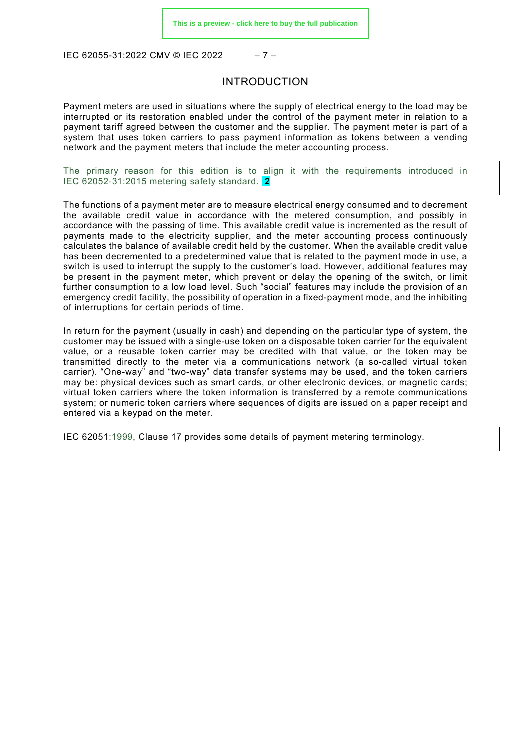<span id="page-6-0"></span>IEC 62055-31:2022 CMV © IEC 2022 – 7 –

#### INTRODUCTION

Payment meters are used in situations where the supply of electrical energy to the load may be interrupted or its restoration enabled under the control of the payment meter in relation to a payment tariff agreed between the customer and the supplier. The payment meter is part of a system that uses token carriers to pass payment information as tokens between a vending network and the payment meters that include the meter accounting process.

The primary reason for this edition is to align it with the requirements introduced in IEC 62052‑31:2015 metering safety standard. **2**

The functions of a payment meter are to measure electrical energy consumed and to decrement the available credit value in accordance with the metered consumption, and possibly in accordance with the passing of time. This available credit value is incremented as the result of payments made to the electricity supplier, and the meter accounting process continuously calculates the balance of available credit held by the customer. When the available credit value has been decremented to a predetermined value that is related to the payment mode in use, a switch is used to interrupt the supply to the customer's load. However, additional features may be present in the payment meter, which prevent or delay the opening of the switch, or limit further consumption to a low load level. Such "social" features may include the provision of an emergency credit facility, the possibility of operation in a fixed-payment mode, and the inhibiting of interruptions for certain periods of time.

In return for the payment (usually in cash) and depending on the particular type of system, the customer may be issued with a single-use token on a disposable token carrier for the equivalent value, or a reusable token carrier may be credited with that value, or the token may be transmitted directly to the meter via a communications network (a so-called virtual token carrier). "One-way" and "two-way" data transfer systems may be used, and the token carriers may be: physical devices such as smart cards, or other electronic devices, or magnetic cards; virtual token carriers where the token information is transferred by a remote communications system; or numeric token carriers where sequences of digits are issued on a paper receipt and entered via a keypad on the meter.

IEC 62051:1999, Clause 17 provides some details of payment metering terminology.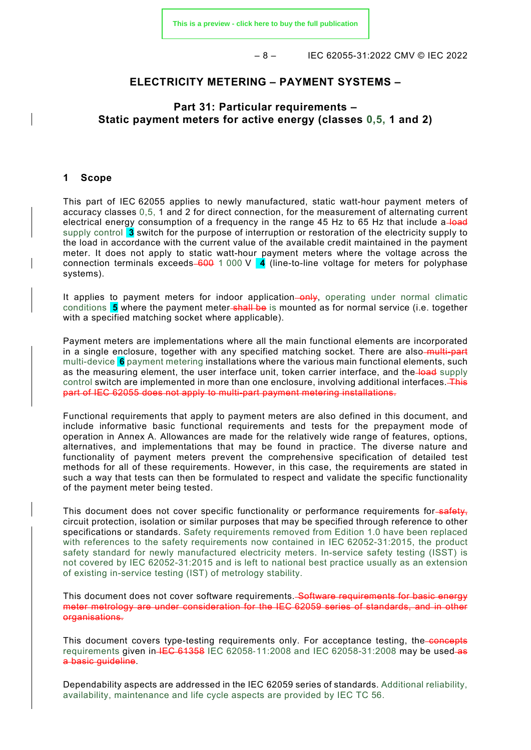$-8 -$  IFC 62055-31:2022 CMV © IFC 2022

#### **ELECTRICITY METERING – PAYMENT SYSTEMS –**

#### **Part 31: Particular requirements – Static payment meters for active energy (classes 0,5, 1 and 2)**

#### <span id="page-7-0"></span>**1 Scope**

This part of IEC 62055 applies to newly manufactured, static watt-hour payment meters of accuracy classes 0,5, 1 and 2 for direct connection, for the measurement of alternating current electrical energy consumption of a frequency in the range  $45$  Hz to 65 Hz that include a-load supply control **3** switch for the purpose of interruption or restoration of the electricity supply to the load in accordance with the current value of the available credit maintained in the payment meter. It does not apply to static watt-hour payment meters where the voltage across the connection terminals exceeds 600 1 000 V **4** (line-to-line voltage for meters for polyphase systems).

It applies to payment meters for indoor application–only, operating under normal climatic conditions **5** where the payment meter-shall be is mounted as for normal service (i.e. together with a specified matching socket where applicable).

Payment meters are implementations where all the main functional elements are incorporated in a single enclosure, together with any specified matching socket. There are also-multi-part multi-device **6** payment metering installations where the various main functional elements, such as the measuring element, the user interface unit, token carrier interface, and the load supply control switch are implemented in more than one enclosure, involving additional interfaces. This part of IEC 62055 does not apply to multi-part payment metering installations.

Functional requirements that apply to payment meters are also defined in this document, and include informative basic functional requirements and tests for the prepayment mode of operation in [Annex A.](#page--1-2) Allowances are made for the relatively wide range of features, options, alternatives, and implementations that may be found in practice. The diverse nature and functionality of payment meters prevent the comprehensive specification of detailed test methods for all of these requirements. However, in this case, the requirements are stated in such a way that tests can then be formulated to respect and validate the specific functionality of the payment meter being tested.

This document does not cover specific functionality or performance requirements for-safety, circuit protection, isolation or similar purposes that may be specified through reference to other specifications or standards. Safety requirements removed from Edition 1.0 have been replaced with references to the safety requirements now contained in IEC 62052-31:2015, the product safety standard for newly manufactured electricity meters. In-service safety testing (ISST) is not covered by IEC 62052-31:2015 and is left to national best practice usually as an extension of existing in-service testing (IST) of metrology stability.

This document does not cover software requirements. Software requirements for basic energy meter metrology are under consideration for the IEC 62059 series of standards, and in other organisations.

This document covers type-testing requirements only. For acceptance testing, the-concepts requirements given in  $E$ C 61358 IEC 62058-11:2008 and IEC 62058-31:2008 may be used as a basic guideline.

Dependability aspects are addressed in the IEC 62059 series of standards. Additional reliability, availability, maintenance and life cycle aspects are provided by IEC TC 56.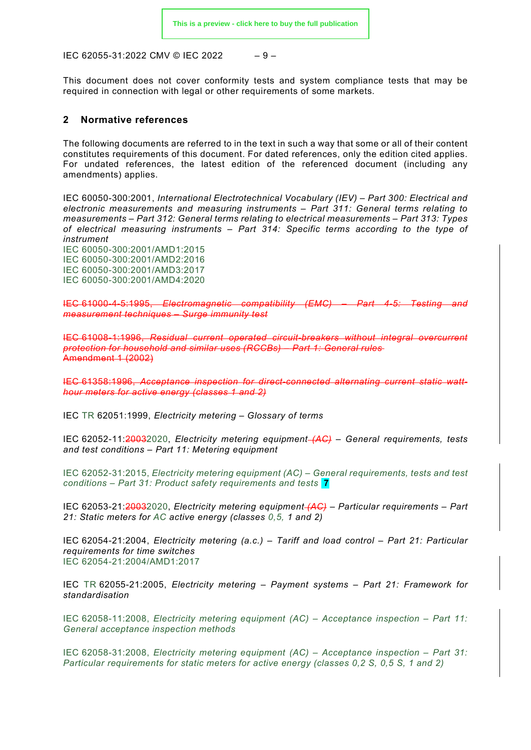IFC 62055-31:2022 CMV © IFC 2022  $-9 -$ 

This document does not cover conformity tests and system compliance tests that may be required in connection with legal or other requirements of some markets.

#### <span id="page-8-0"></span>**2 Normative references**

The following documents are referred to in the text in such a way that some or all of their content constitutes requirements of this document. For dated references, only the edition cited applies. For undated references, the latest edition of the referenced document (including any amendments) applies.

IEC 60050-300:2001, *International Electrotechnical Vocabulary (IEV) – Part 300: Electrical and electronic measurements and measuring instruments – Part 311: General terms relating to measurements – Part 312: General terms relating to electrical measurements – Part 313: Types of electrical measuring instruments – Part 314: Specific terms according to the type of instrument*

IEC 60050-300:2001/AMD1:2015 IEC 60050-300:2001/AMD2:2016 IEC 60050-300:2001/AMD3:2017 IEC 60050-300:2001/AMD4:2020

IEC 61000-4-5:1995, *Electromagnetic compatibility (EMC) – Part 4-5: Testing and measurement techniques – Surge immunity test*

IEC 61008-1:1996, *Residual current operated circuit-breakers without integral overcurrent protection for household and similar uses (RCCBs) – Part 1: General rules*  Amendment 1 (2002)

IEC 61358:1996, *Acceptance inspection for direct-connected alternating current static watthour meters for active energy (classes 1 and 2)*

IEC TR 62051:1999, *Electricity metering – Glossary of terms*

IEC 62052-11:20032020, *Electricity metering equipment (AC) – General requirements, tests and test conditions – Part 11: Metering equipment*

IEC 62052-31:2015, *Electricity metering equipment (AC) – General requirements, tests and test conditions – Part 31: Product safety requirements and tests* **7**

IEC 62053-21:20032020, *Electricity metering equipment (AC) – Particular requirements – Part 21: Static meters for AC active energy (classes 0,5, 1 and 2)*

IEC 62054-21:2004, *Electricity metering (a.c.) – Tariff and load control – Part 21: Particular requirements for time switches* IEC 62054-21:2004/AMD1:2017

IEC TR 62055-21:2005, *Electricity metering – Payment systems – Part 21: Framework for standardisation*

IEC 62058-11:2008, *Electricity metering equipment (AC) – Acceptance inspection – Part 11: General acceptance inspection methods*

IEC 62058-31:2008, *Electricity metering equipment (AC) – Acceptance inspection – Part 31: Particular requirements for static meters for active energy (classes 0,2 S, 0,5 S, 1 and 2)*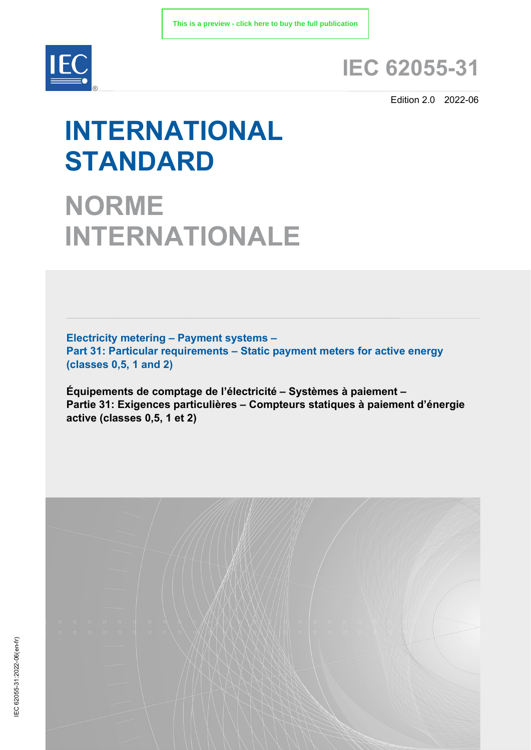

## **IEC 62055-31**

Edition 2.0 2022-06

# **INTERNATIONAL STANDARD**

**NORME INTERNATIONALE**

**Electricity metering – Payment systems – Part 31: Particular requirements – Static payment meters for active energy (classes 0,5, 1 and 2)** 

**Équipements de comptage de l'électricité – Systèmes à paiement – Partie 31: Exigences particulières – Compteurs statiques à paiement d'énergie active (classes 0,5, 1 et 2)** 

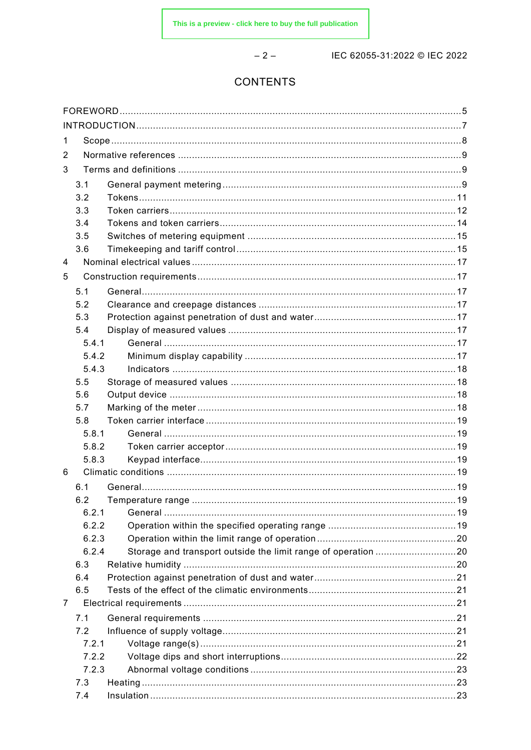$-2-$ 

IEC 62055-31:2022 © IEC 2022

### CONTENTS

| 1              |       |                                                               |  |  |  |
|----------------|-------|---------------------------------------------------------------|--|--|--|
| 2              |       |                                                               |  |  |  |
| 3              |       |                                                               |  |  |  |
|                | 3.1   |                                                               |  |  |  |
|                | 3.2   |                                                               |  |  |  |
|                | 3.3   |                                                               |  |  |  |
|                | 3.4   |                                                               |  |  |  |
|                | 3.5   |                                                               |  |  |  |
|                | 3.6   |                                                               |  |  |  |
| 4              |       |                                                               |  |  |  |
| 5              |       |                                                               |  |  |  |
|                | 5.1   |                                                               |  |  |  |
|                | 5.2   |                                                               |  |  |  |
|                | 5.3   |                                                               |  |  |  |
|                | 5.4   |                                                               |  |  |  |
|                | 5.4.1 |                                                               |  |  |  |
|                | 5.4.2 |                                                               |  |  |  |
|                | 5.4.3 |                                                               |  |  |  |
|                | 5.5   |                                                               |  |  |  |
|                | 5.6   |                                                               |  |  |  |
|                | 5.7   |                                                               |  |  |  |
|                | 5.8   |                                                               |  |  |  |
|                | 5.8.1 |                                                               |  |  |  |
|                | 5.8.2 |                                                               |  |  |  |
|                | 5.8.3 |                                                               |  |  |  |
| 6              |       |                                                               |  |  |  |
|                | 6.1   |                                                               |  |  |  |
|                | 6.2   |                                                               |  |  |  |
|                | 6.2.1 |                                                               |  |  |  |
|                | 6.2.2 |                                                               |  |  |  |
|                | 6.2.3 |                                                               |  |  |  |
|                | 6.2.4 | Storage and transport outside the limit range of operation 20 |  |  |  |
|                | 6.3   |                                                               |  |  |  |
|                | 6.4   |                                                               |  |  |  |
|                | 6.5   |                                                               |  |  |  |
| $\overline{7}$ |       |                                                               |  |  |  |
|                | 7.1   |                                                               |  |  |  |
|                | 7.2   |                                                               |  |  |  |
|                | 7.2.1 |                                                               |  |  |  |
|                | 7.2.2 |                                                               |  |  |  |
|                | 7.2.3 |                                                               |  |  |  |
|                | 7.3   |                                                               |  |  |  |
|                | 7.4   |                                                               |  |  |  |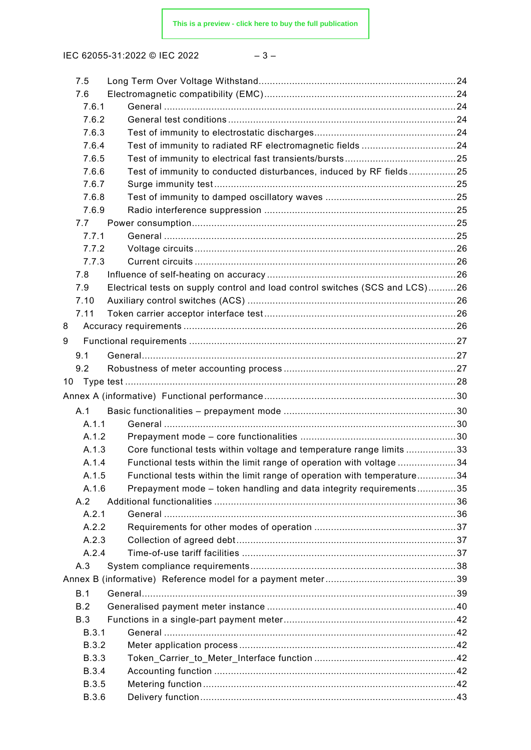IEC 62055-31:2022 © IEC 2022

$$
-3-
$$

|    | 7.5          |                                                                              |  |
|----|--------------|------------------------------------------------------------------------------|--|
|    | 7.6          |                                                                              |  |
|    | 7.6.1        |                                                                              |  |
|    | 7.6.2        |                                                                              |  |
|    | 7.6.3        |                                                                              |  |
|    | 7.6.4        | Test of immunity to radiated RF electromagnetic fields 24                    |  |
|    | 7.6.5        |                                                                              |  |
|    | 7.6.6        | Test of immunity to conducted disturbances, induced by RF fields25           |  |
|    | 7.6.7        |                                                                              |  |
|    | 7.6.8        |                                                                              |  |
|    | 7.6.9        |                                                                              |  |
|    | 7.7          |                                                                              |  |
|    | 7.7.1        |                                                                              |  |
|    | 7.7.2        |                                                                              |  |
|    | 7.7.3        |                                                                              |  |
|    | 7.8          |                                                                              |  |
|    | 7.9          | Electrical tests on supply control and load control switches (SCS and LCS)26 |  |
|    | 7.10         |                                                                              |  |
|    | 7.11         |                                                                              |  |
| 8  |              |                                                                              |  |
| 9  |              |                                                                              |  |
|    | 9.1          |                                                                              |  |
|    | 9.2          |                                                                              |  |
| 10 |              |                                                                              |  |
|    |              |                                                                              |  |
|    | A.1          |                                                                              |  |
|    | A.1.1        |                                                                              |  |
|    | A.1.2        |                                                                              |  |
|    | A.1.3        | Core functional tests within voltage and temperature range limits 33         |  |
|    | A.1.4        | Functional tests within the limit range of operation with voltage 34         |  |
|    | A.1.5        | Functional tests within the limit range of operation with temperature34      |  |
|    | A.1.6        | Prepayment mode - token handling and data integrity requirements35           |  |
|    | A.2          |                                                                              |  |
|    | A.2.1        |                                                                              |  |
|    | A.2.2        |                                                                              |  |
|    | A.2.3        |                                                                              |  |
|    | A.2.4        |                                                                              |  |
|    | A.3          |                                                                              |  |
|    |              |                                                                              |  |
|    | B.1          |                                                                              |  |
|    | B.2          |                                                                              |  |
|    | B.3          |                                                                              |  |
|    | B.3.1        |                                                                              |  |
|    | <b>B.3.2</b> |                                                                              |  |
|    | <b>B.3.3</b> |                                                                              |  |
|    | <b>B.3.4</b> |                                                                              |  |
|    | <b>B.3.5</b> |                                                                              |  |
|    | B.3.6        |                                                                              |  |
|    |              |                                                                              |  |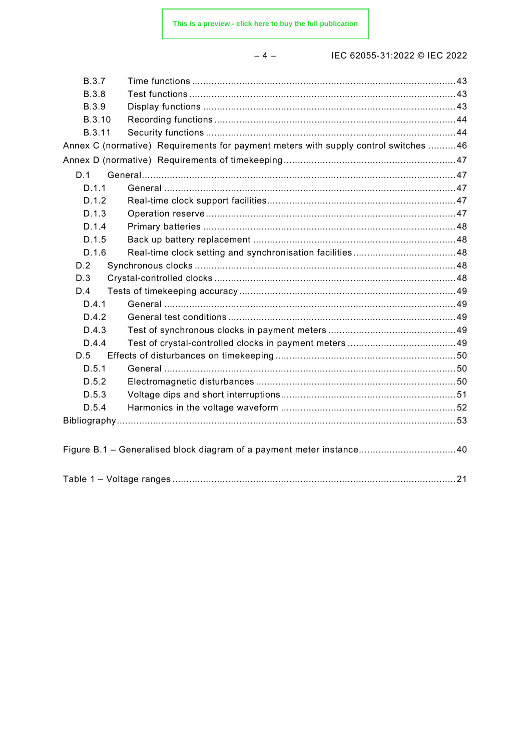|--|

IEC 62055-31:2022 © IEC 2022

| <b>B.3.7</b> |                                                                                     |  |
|--------------|-------------------------------------------------------------------------------------|--|
| <b>B.3.8</b> |                                                                                     |  |
| <b>B.3.9</b> |                                                                                     |  |
| B.3.10       |                                                                                     |  |
| B.3.11       |                                                                                     |  |
|              | Annex C (normative) Requirements for payment meters with supply control switches 46 |  |
|              |                                                                                     |  |
| D.1          |                                                                                     |  |
| D.1.1        |                                                                                     |  |
| D.1.2        |                                                                                     |  |
| D.1.3        |                                                                                     |  |
| D.1.4        |                                                                                     |  |
| D.1.5        |                                                                                     |  |
| D.1.6        |                                                                                     |  |
| D.2          |                                                                                     |  |
| D.3          |                                                                                     |  |
| D.4          |                                                                                     |  |
| D.4.1        |                                                                                     |  |
| D.4.2        |                                                                                     |  |
| D.4.3        |                                                                                     |  |
| D.4.4        |                                                                                     |  |
| D.5          |                                                                                     |  |
| D.5.1        |                                                                                     |  |
| D.5.2        |                                                                                     |  |
| D.5.3        |                                                                                     |  |
| D.5.4        |                                                                                     |  |
|              |                                                                                     |  |
|              | Figure B.1 – Generalised block diagram of a payment meter instance40                |  |
|              |                                                                                     |  |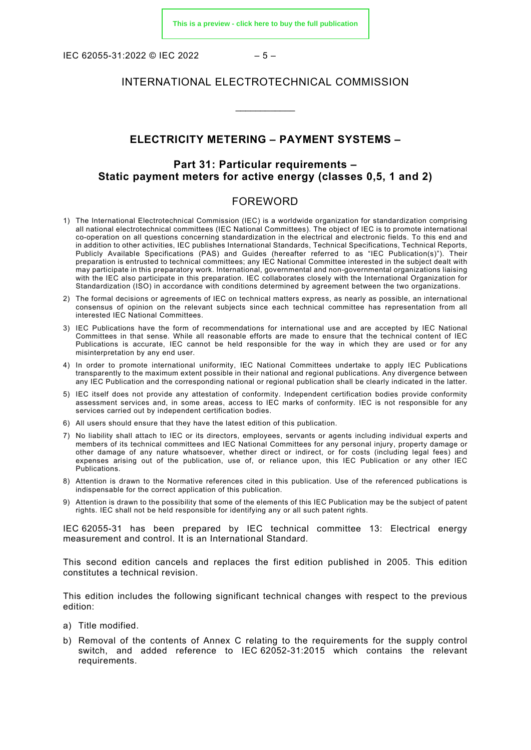IEC 62055-31:2022 © IEC 2022  $-5-$ 

#### INTERNATIONAL ELECTROTECHNICAL COMMISSION

\_\_\_\_\_\_\_\_\_\_\_\_

#### **ELECTRICITY METERING – PAYMENT SYSTEMS –**

#### **Part 31: Particular requirements – Static payment meters for active energy (classes 0,5, 1 and 2)**

#### FOREWORD

- <span id="page-13-0"></span>1) The International Electrotechnical Commission (IEC) is a worldwide organization for standardization comprising all national electrotechnical committees (IEC National Committees). The object of IEC is to promote international co-operation on all questions concerning standardization in the electrical and electronic fields. To this end and in addition to other activities, IEC publishes International Standards, Technical Specifications, Technical Reports, Publicly Available Specifications (PAS) and Guides (hereafter referred to as "IEC Publication(s)"). Their preparation is entrusted to technical committees; any IEC National Committee interested in the subject dealt with may participate in this preparatory work. International, governmental and non-governmental organizations liaising with the IEC also participate in this preparation. IEC collaborates closely with the International Organization for Standardization (ISO) in accordance with conditions determined by agreement between the two organizations.
- 2) The formal decisions or agreements of IEC on technical matters express, as nearly as possible, an international consensus of opinion on the relevant subjects since each technical committee has representation from all interested IEC National Committees.
- 3) IEC Publications have the form of recommendations for international use and are accepted by IEC National Committees in that sense. While all reasonable efforts are made to ensure that the technical content of IEC Publications is accurate, IEC cannot be held responsible for the way in which they are used or for any misinterpretation by any end user.
- 4) In order to promote international uniformity, IEC National Committees undertake to apply IEC Publications transparently to the maximum extent possible in their national and regional publications. Any divergence between any IEC Publication and the corresponding national or regional publication shall be clearly indicated in the latter.
- 5) IEC itself does not provide any attestation of conformity. Independent certification bodies provide conformity assessment services and, in some areas, access to IEC marks of conformity. IEC is not responsible for any services carried out by independent certification bodies.
- 6) All users should ensure that they have the latest edition of this publication.
- 7) No liability shall attach to IEC or its directors, employees, servants or agents including individual experts and members of its technical committees and IEC National Committees for any personal injury, property damage or other damage of any nature whatsoever, whether direct or indirect, or for costs (including legal fees) and expenses arising out of the publication, use of, or reliance upon, this IEC Publication or any other IEC Publications.
- 8) Attention is drawn to the Normative references cited in this publication. Use of the referenced publications is indispensable for the correct application of this publication.
- 9) Attention is drawn to the possibility that some of the elements of this IEC Publication may be the subject of patent rights. IEC shall not be held responsible for identifying any or all such patent rights.

IEC 62055-31 has been prepared by IEC technical committee 13: Electrical energy measurement and control. It is an International Standard.

This second edition cancels and replaces the first edition published in 2005. This edition constitutes a technical revision.

This edition includes the following significant technical changes with respect to the previous edition:

- a) Title modified.
- b) Removal of the contents of Annex C relating to the requirements for the supply control switch, and added reference to IEC 62052-31:2015 which contains the relevant requirements.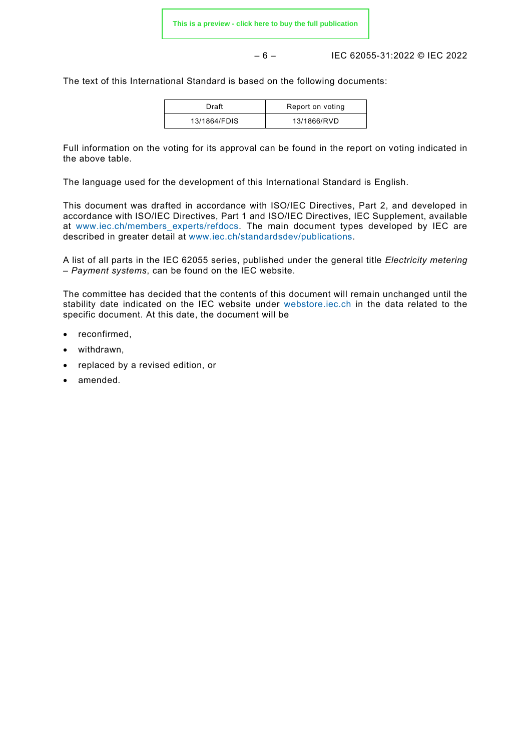– 6 – IEC 62055-31:2022 © IEC 2022

The text of this International Standard is based on the following documents:

| Draft        | Report on voting |
|--------------|------------------|
| 13/1864/FDIS | 13/1866/RVD      |

Full information on the voting for its approval can be found in the report on voting indicated in the above table.

The language used for the development of this International Standard is English.

This document was drafted in accordance with ISO/IEC Directives, Part 2, and developed in accordance with ISO/IEC Directives, Part 1 and ISO/IEC Directives, IEC Supplement, available at [www.iec.ch/members\\_experts/refdocs.](http://www.iec.ch/members_experts/refdocs) The main document types developed by IEC are described in greater detail at [www.iec.ch/standardsdev/publications.](http://www.iec.ch/standardsdev/publications)

A list of all parts in the IEC 62055 series, published under the general title *Electricity metering – Payment systems*, can be found on the IEC website.

The committee has decided that the contents of this document will remain unchanged until the stability date indicated on the IEC website under [webstore.iec.ch](https://webstore.iec.ch/?ref=menu) in the data related to the specific document. At this date, the document will be

- reconfirmed,
- withdrawn,
- replaced by a revised edition, or
- amended.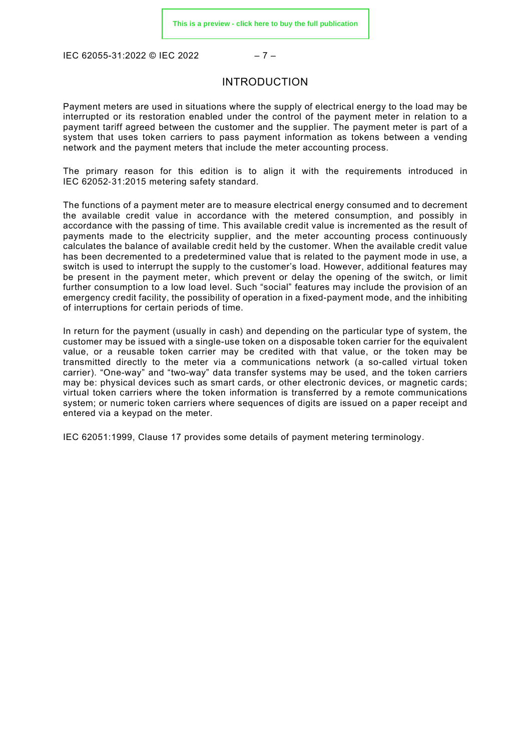<span id="page-15-0"></span>IEC 62055-31:2022 © IEC 2022 – 7 –

#### INTRODUCTION

Payment meters are used in situations where the supply of electrical energy to the load may be interrupted or its restoration enabled under the control of the payment meter in relation to a payment tariff agreed between the customer and the supplier. The payment meter is part of a system that uses token carriers to pass payment information as tokens between a vending network and the payment meters that include the meter accounting process.

The primary reason for this edition is to align it with the requirements introduced in IEC 62052‑31:2015 metering safety standard.

The functions of a payment meter are to measure electrical energy consumed and to decrement the available credit value in accordance with the metered consumption, and possibly in accordance with the passing of time. This available credit value is incremented as the result of payments made to the electricity supplier, and the meter accounting process continuously calculates the balance of available credit held by the customer. When the available credit value has been decremented to a predetermined value that is related to the payment mode in use, a switch is used to interrupt the supply to the customer's load. However, additional features may be present in the payment meter, which prevent or delay the opening of the switch, or limit further consumption to a low load level. Such "social" features may include the provision of an emergency credit facility, the possibility of operation in a fixed-payment mode, and the inhibiting of interruptions for certain periods of time.

In return for the payment (usually in cash) and depending on the particular type of system, the customer may be issued with a single-use token on a disposable token carrier for the equivalent value, or a reusable token carrier may be credited with that value, or the token may be transmitted directly to the meter via a communications network (a so-called virtual token carrier). "One-way" and "two-way" data transfer systems may be used, and the token carriers may be: physical devices such as smart cards, or other electronic devices, or magnetic cards; virtual token carriers where the token information is transferred by a remote communications system; or numeric token carriers where sequences of digits are issued on a paper receipt and entered via a keypad on the meter.

IEC 62051:1999, Clause 17 provides some details of payment metering terminology.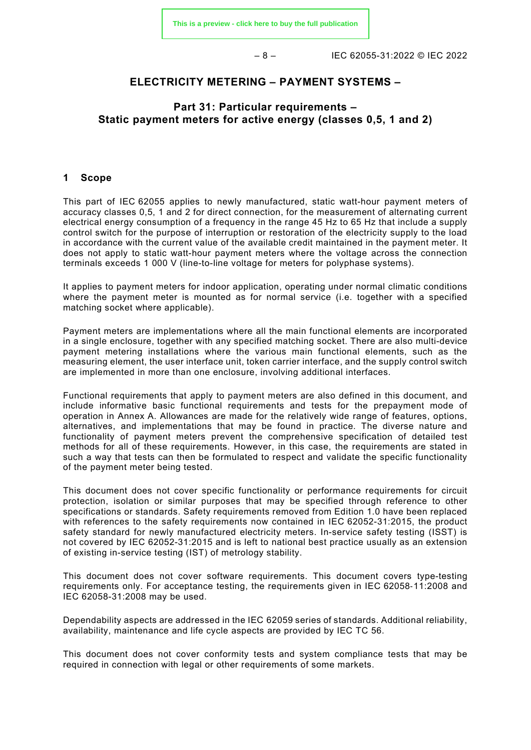– 8 – IEC 62055-31:2022 © IEC 2022

#### **ELECTRICITY METERING – PAYMENT SYSTEMS –**

#### **Part 31: Particular requirements – Static payment meters for active energy (classes 0,5, 1 and 2)**

#### <span id="page-16-0"></span>**1 Scope**

This part of IEC 62055 applies to newly manufactured, static watt-hour payment meters of accuracy classes 0,5, 1 and 2 for direct connection, for the measurement of alternating current electrical energy consumption of a frequency in the range 45 Hz to 65 Hz that include a supply control switch for the purpose of interruption or restoration of the electricity supply to the load in accordance with the current value of the available credit maintained in the payment meter. It does not apply to static watt-hour payment meters where the voltage across the connection terminals exceeds 1 000 V (line-to-line voltage for meters for polyphase systems).

It applies to payment meters for indoor application, operating under normal climatic conditions where the payment meter is mounted as for normal service (i.e. together with a specified matching socket where applicable).

Payment meters are implementations where all the main functional elements are incorporated in a single enclosure, together with any specified matching socket. There are also multi-device payment metering installations where the various main functional elements, such as the measuring element, the user interface unit, token carrier interface, and the supply control switch are implemented in more than one enclosure, involving additional interfaces.

Functional requirements that apply to payment meters are also defined in this document, and include informative basic functional requirements and tests for the prepayment mode of operation in [Annex A.](#page--1-2) Allowances are made for the relatively wide range of features, options, alternatives, and implementations that may be found in practice. The diverse nature and functionality of payment meters prevent the comprehensive specification of detailed test methods for all of these requirements. However, in this case, the requirements are stated in such a way that tests can then be formulated to respect and validate the specific functionality of the payment meter being tested.

This document does not cover specific functionality or performance requirements for circuit protection, isolation or similar purposes that may be specified through reference to other specifications or standards. Safety requirements removed from Edition 1.0 have been replaced with references to the safety requirements now contained in IEC 62052-31:2015, the product safety standard for newly manufactured electricity meters. In-service safety testing (ISST) is not covered by IEC 62052-31:2015 and is left to national best practice usually as an extension of existing in-service testing (IST) of metrology stability.

This document does not cover software requirements. This document covers type-testing requirements only. For acceptance testing, the requirements given in IEC 62058-11:2008 and IEC 62058-31:2008 may be used.

Dependability aspects are addressed in the IEC 62059 series of standards. Additional reliability, availability, maintenance and life cycle aspects are provided by IEC TC 56.

This document does not cover conformity tests and system compliance tests that may be required in connection with legal or other requirements of some markets.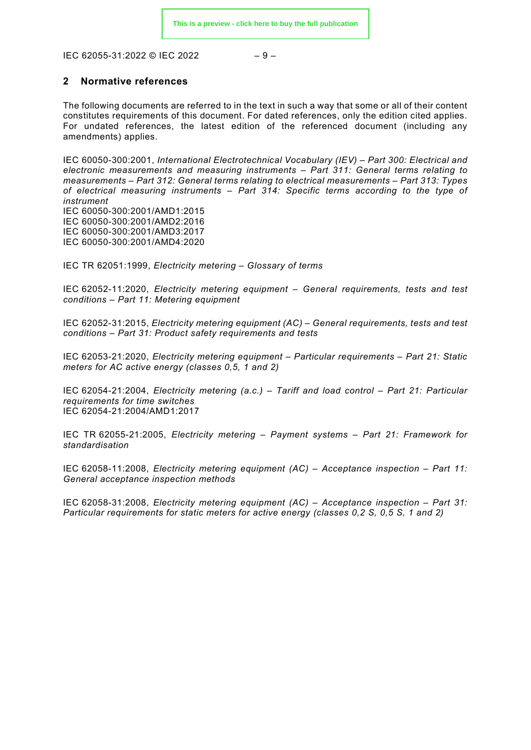IEC 62055-31:2022 © IEC 2022  $-9-$ 

#### <span id="page-17-0"></span>**2 Normative references**

The following documents are referred to in the text in such a way that some or all of their content constitutes requirements of this document. For dated references, only the edition cited applies. For undated references, the latest edition of the referenced document (including any amendments) applies.

IEC 60050-300:2001, *International Electrotechnical Vocabulary (IEV) – Part 300: Electrical and electronic measurements and measuring instruments – Part 311: General terms relating to measurements – Part 312: General terms relating to electrical measurements – Part 313: Types of electrical measuring instruments – Part 314: Specific terms according to the type of instrument* IEC 60050-300:2001/AMD1:2015

IEC 60050-300:2001/AMD2:2016 IEC 60050-300:2001/AMD3:2017 IEC 60050-300:2001/AMD4:2020

IEC TR 62051:1999, *Electricity metering – Glossary of terms*

IEC 62052-11:2020, *Electricity metering equipment – General requirements, tests and test conditions – Part 11: Metering equipment*

IEC 62052-31:2015, *Electricity metering equipment (AC) – General requirements, tests and test conditions – Part 31: Product safety requirements and tests*

IEC 62053-21:2020, *Electricity metering equipment – Particular requirements – Part 21: Static meters for AC active energy (classes 0,5, 1 and 2)*

IEC 62054-21:2004, *Electricity metering (a.c.) – Tariff and load control – Part 21: Particular requirements for time switches* IEC 62054-21:2004/AMD1:2017

IEC TR 62055-21:2005, *Electricity metering – Payment systems – Part 21: Framework for standardisation*

IEC 62058-11:2008, *Electricity metering equipment (AC) – Acceptance inspection – Part 11: General acceptance inspection methods*

<span id="page-17-2"></span><span id="page-17-1"></span>IEC 62058-31:2008, *Electricity metering equipment (AC) – Acceptance inspection – Part 31: Particular requirements for static meters for active energy (classes 0,2 S, 0,5 S, 1 and 2)*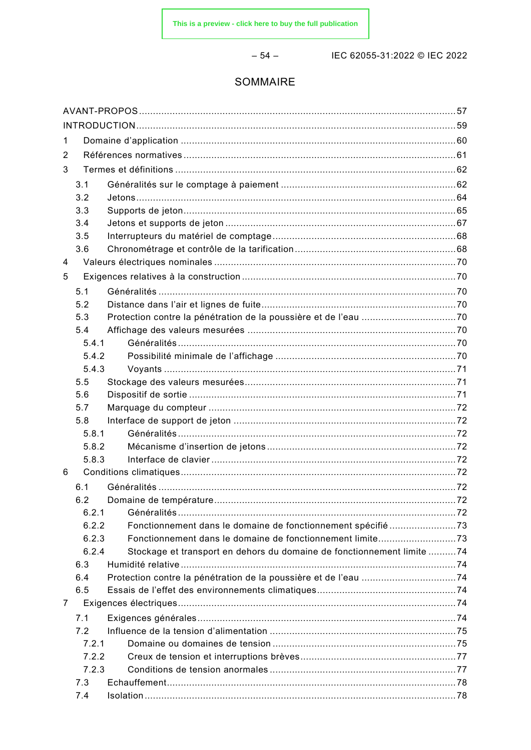$-54-$ 

IEC 62055-31:2022 © IEC 2022

#### SOMMAIRE

| $\mathbf 1$    |       |                                                                        |  |
|----------------|-------|------------------------------------------------------------------------|--|
| $\overline{2}$ |       |                                                                        |  |
| 3              |       |                                                                        |  |
|                | 3.1   |                                                                        |  |
|                | 3.2   |                                                                        |  |
|                | 3.3   |                                                                        |  |
|                | 3.4   |                                                                        |  |
|                | 3.5   |                                                                        |  |
|                | 3.6   |                                                                        |  |
| 4              |       |                                                                        |  |
| 5              |       |                                                                        |  |
|                | 5.1   |                                                                        |  |
|                | 5.2   |                                                                        |  |
|                | 5.3   |                                                                        |  |
|                | 5.4   |                                                                        |  |
|                | 5.4.1 |                                                                        |  |
|                | 5.4.2 |                                                                        |  |
|                | 5.4.3 |                                                                        |  |
|                | 5.5   |                                                                        |  |
|                | 5.6   |                                                                        |  |
|                | 5.7   |                                                                        |  |
|                | 5.8   |                                                                        |  |
|                | 5.8.1 |                                                                        |  |
|                | 5.8.2 |                                                                        |  |
|                | 5.8.3 |                                                                        |  |
| 6              |       |                                                                        |  |
|                | 6.1   |                                                                        |  |
|                | 6.2   |                                                                        |  |
|                | 6.2.1 |                                                                        |  |
|                | 6.2.2 | Fonctionnement dans le domaine de fonctionnement spécifié 73           |  |
|                | 6.2.3 |                                                                        |  |
|                | 6.2.4 | Stockage et transport en dehors du domaine de fonctionnement limite 74 |  |
|                | 6.3   |                                                                        |  |
|                | 6.4   |                                                                        |  |
|                | 6.5   |                                                                        |  |
| 7              |       |                                                                        |  |
|                | 7.1   |                                                                        |  |
|                | 7.2   |                                                                        |  |
|                | 7.2.1 |                                                                        |  |
|                | 7.2.2 |                                                                        |  |
|                | 7.2.3 |                                                                        |  |
|                | 7.3   |                                                                        |  |
|                | 7.4   |                                                                        |  |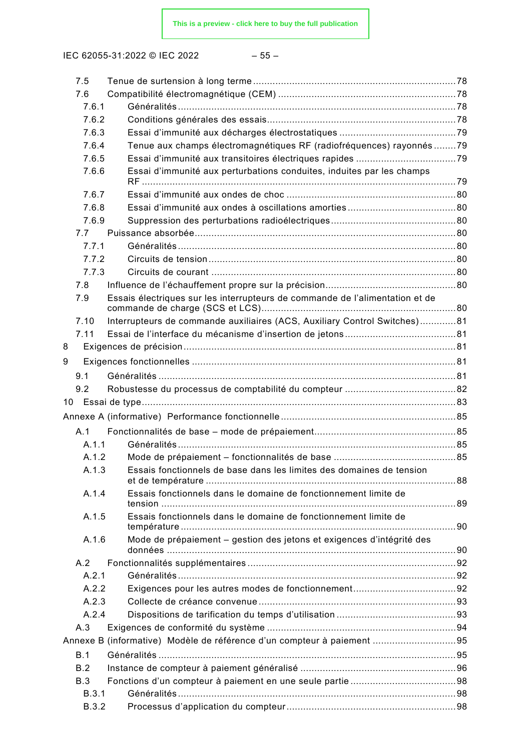IEC 62055-31:2022 © IEC 2022 – 55 –

|    | 7.5          |                                                                              |  |
|----|--------------|------------------------------------------------------------------------------|--|
|    | 7.6          |                                                                              |  |
|    | 7.6.1        |                                                                              |  |
|    | 7.6.2        |                                                                              |  |
|    | 7.6.3        |                                                                              |  |
|    | 7.6.4        | Tenue aux champs électromagnétiques RF (radiofréquences) rayonnés 79         |  |
|    | 7.6.5        |                                                                              |  |
|    | 7.6.6        | Essai d'immunité aux perturbations conduites, induites par les champs        |  |
|    | 7.6.7        |                                                                              |  |
|    | 7.6.8        |                                                                              |  |
|    | 7.6.9        |                                                                              |  |
|    | 7.7          |                                                                              |  |
|    | 7.7.1        |                                                                              |  |
|    | 7.7.2        |                                                                              |  |
|    | 7.7.3        |                                                                              |  |
|    | 7.8          |                                                                              |  |
|    | 7.9          | Essais électriques sur les interrupteurs de commande de l'alimentation et de |  |
|    |              |                                                                              |  |
|    | 7.10         | Interrupteurs de commande auxiliaires (ACS, Auxiliary Control Switches)81    |  |
|    | 7.11         |                                                                              |  |
| 8  |              |                                                                              |  |
| 9  |              |                                                                              |  |
|    | 9.1          |                                                                              |  |
|    | 9.2          |                                                                              |  |
| 10 |              |                                                                              |  |
|    |              |                                                                              |  |
|    | A.1          |                                                                              |  |
|    | A.1.1        |                                                                              |  |
|    | A.1.2        |                                                                              |  |
|    | A.1.3        | Essais fonctionnels de base dans les limites des domaines de tension         |  |
|    |              |                                                                              |  |
|    | A.1.4        | Essais fonctionnels dans le domaine de fonctionnement limite de              |  |
|    | A.1.5        | Essais fonctionnels dans le domaine de fonctionnement limite de              |  |
|    |              |                                                                              |  |
|    | A.1.6        | Mode de prépaiement - gestion des jetons et exigences d'intégrité des        |  |
|    | A.2          |                                                                              |  |
|    | A.2.1        |                                                                              |  |
|    | A.2.2        |                                                                              |  |
|    | A.2.3        |                                                                              |  |
|    | A.2.4        |                                                                              |  |
|    | A.3          |                                                                              |  |
|    |              | Annexe B (informative) Modèle de référence d'un compteur à paiement 95       |  |
|    | B.1          |                                                                              |  |
|    | B.2          |                                                                              |  |
|    | B.3          |                                                                              |  |
|    | <b>B.3.1</b> |                                                                              |  |
|    | B.3.2        |                                                                              |  |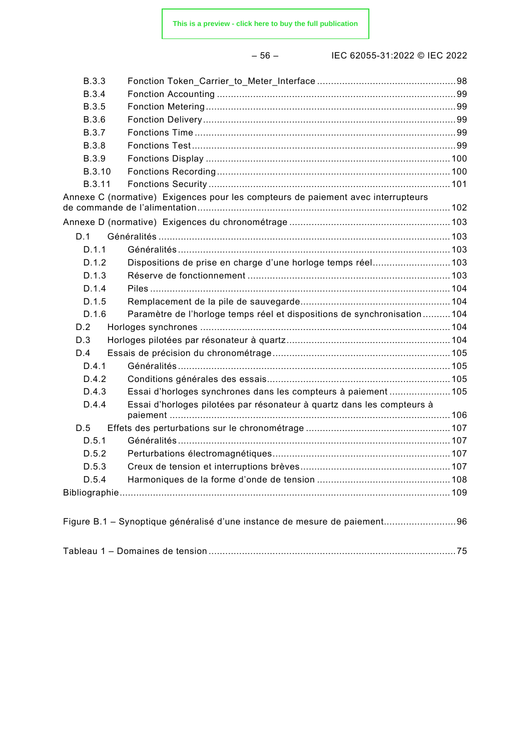– 56 – IEC 62055-31:2022 © IEC 2022

| <b>B.3.3</b> |                                                                                  |  |
|--------------|----------------------------------------------------------------------------------|--|
| <b>B.3.4</b> |                                                                                  |  |
| <b>B.3.5</b> |                                                                                  |  |
| <b>B.3.6</b> |                                                                                  |  |
| <b>B.3.7</b> |                                                                                  |  |
| <b>B.3.8</b> |                                                                                  |  |
| <b>B.3.9</b> |                                                                                  |  |
| B.3.10       |                                                                                  |  |
| B.3.11       |                                                                                  |  |
|              | Annexe C (normative) Exigences pour les compteurs de paiement avec interrupteurs |  |
|              |                                                                                  |  |
| D.1          |                                                                                  |  |
| D.1.1        |                                                                                  |  |
| D.1.2        | Dispositions de prise en charge d'une horloge temps réel 103                     |  |
| D.1.3        |                                                                                  |  |
| D.1.4        |                                                                                  |  |
| D.1.5        |                                                                                  |  |
| D.1.6        | Paramètre de l'horloge temps réel et dispositions de synchronisation 104         |  |
| D.2          |                                                                                  |  |
| D.3          |                                                                                  |  |
| D.4          |                                                                                  |  |
| D.4.1        |                                                                                  |  |
| D.4.2        |                                                                                  |  |
| D.4.3        | Essai d'horloges synchrones dans les compteurs à paiement  105                   |  |
| D.4.4        | Essai d'horloges pilotées par résonateur à quartz dans les compteurs à           |  |
|              |                                                                                  |  |
| D.5          |                                                                                  |  |
| D.5.1        |                                                                                  |  |
| D.5.2        |                                                                                  |  |
| D.5.3        |                                                                                  |  |
| D.5.4        |                                                                                  |  |
|              |                                                                                  |  |
|              |                                                                                  |  |
|              | Figure B.1 - Synoptique généralisé d'une instance de mesure de paiement96        |  |
|              |                                                                                  |  |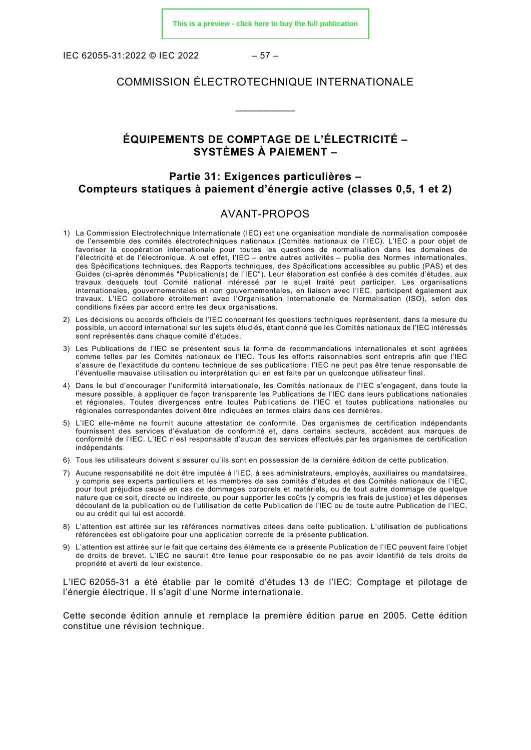IEC 62055-31:2022 © IEC 2022 – 57 –

#### COMMISSION ÉLECTROTECHNIQUE INTERNATIONALE

\_\_\_\_\_\_\_\_\_\_\_\_

#### **ÉQUIPEMENTS DE COMPTAGE DE L'ÉLECTRICITÉ – SYSTÈMES À PAIEMENT –**

#### **Partie 31: Exigences particulières – Compteurs statiques à paiement d'énergie active (classes 0,5, 1 et 2)**

#### AVANT-PROPOS

- <span id="page-21-0"></span>1) La Commission Electrotechnique Internationale (IEC) est une organisation mondiale de normalisation composée de l'ensemble des comités électrotechniques nationaux (Comités nationaux de l'IEC). L'IEC a pour objet de favoriser la coopération internationale pour toutes les questions de normalisation dans les domaines de l'électricité et de l'électronique. A cet effet, l'IEC – entre autres activités – publie des Normes internationales, des Spécifications techniques, des Rapports techniques, des Spécifications accessibles au public (PAS) et des Guides (ci-après dénommés "Publication(s) de l'IEC"). Leur élaboration est confiée à des comités d'études, aux travaux desquels tout Comité national intéressé par le sujet traité peut participer. Les organisations internationales, gouvernementales et non gouvernementales, en liaison avec l'IEC, participent également aux travaux. L'IEC collabore étroitement avec l'Organisation Internationale de Normalisation (ISO), selon des conditions fixées par accord entre les deux organisations.
- 2) Les décisions ou accords officiels de l'IEC concernant les questions techniques représentent, dans la mesure du possible, un accord international sur les sujets étudiés, étant donné que les Comités nationaux de l'IEC intéressés sont représentés dans chaque comité d'études.
- 3) Les Publications de l'IEC se présentent sous la forme de recommandations internationales et sont agréées comme telles par les Comités nationaux de l'IEC. Tous les efforts raisonnables sont entrepris afin que l'IEC s'assure de l'exactitude du contenu technique de ses publications; l'IEC ne peut pas être tenue responsable de l'éventuelle mauvaise utilisation ou interprétation qui en est faite par un quelconque utilisateur final.
- 4) Dans le but d'encourager l'uniformité internationale, les Comités nationaux de l'IEC s'engagent, dans toute la mesure possible, à appliquer de façon transparente les Publications de l'IEC dans leurs publications nationales et régionales. Toutes divergences entre toutes Publications de l'IEC et toutes publications nationales ou régionales correspondantes doivent être indiquées en termes clairs dans ces dernières.
- 5) L'IEC elle-même ne fournit aucune attestation de conformité. Des organismes de certification indépendants fournissent des services d'évaluation de conformité et, dans certains secteurs, accèdent aux marques de conformité de l'IEC. L'IEC n'est responsable d'aucun des services effectués par les organismes de certification indépendants.
- 6) Tous les utilisateurs doivent s'assurer qu'ils sont en possession de la dernière édition de cette publication.
- 7) Aucune responsabilité ne doit être imputée à l'IEC, à ses administrateurs, employés, auxiliaires ou mandataires, y compris ses experts particuliers et les membres de ses comités d'études et des Comités nationaux de l'IEC, pour tout préjudice causé en cas de dommages corporels et matériels, ou de tout autre dommage de quelque nature que ce soit, directe ou indirecte, ou pour supporter les coûts (y compris les frais de justice) et les dépenses découlant de la publication ou de l'utilisation de cette Publication de l'IEC ou de toute autre Publication de l'IEC, ou au crédit qui lui est accordé.
- 8) L'attention est attirée sur les références normatives citées dans cette publication. L'utilisation de publications référencées est obligatoire pour une application correcte de la présente publication.
- 9) L'attention est attirée sur le fait que certains des éléments de la présente Publication de l'IEC peuvent faire l'objet de droits de brevet. L'IEC ne saurait être tenue pour responsable de ne pas avoir identifié de tels droits de propriété et averti de leur existence.

L'IEC 62055-31 a été établie par le comité d'études 13 de l'IEC: Comptage et pilotage de l'énergie électrique. Il s'agit d'une Norme internationale.

Cette seconde édition annule et remplace la première édition parue en 2005. Cette édition constitue une révision technique.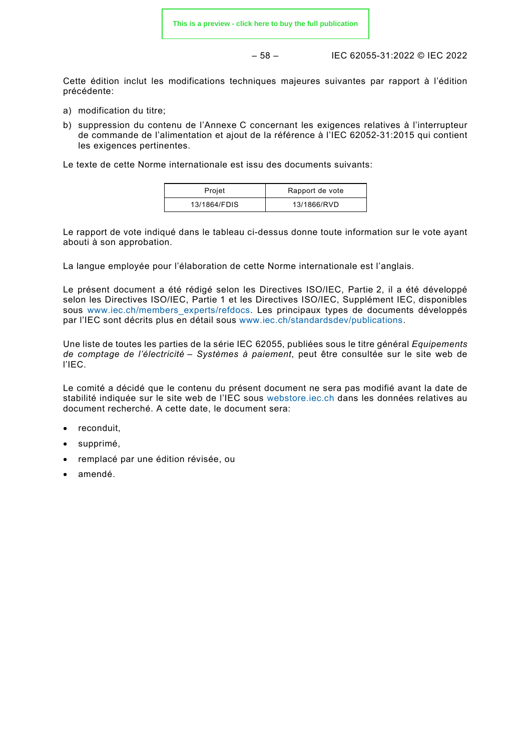– 58 – IEC 62055-31:2022 © IEC 2022

Cette édition inclut les modifications techniques majeures suivantes par rapport à l'édition précédente:

- a) modification du titre;
- b) suppression du contenu de l'Annexe C concernant les exigences relatives à l'interrupteur de commande de l'alimentation et ajout de la référence à l'IEC 62052-31:2015 qui contient les exigences pertinentes.

Le texte de cette Norme internationale est issu des documents suivants:

| Projet       | Rapport de vote |
|--------------|-----------------|
| 13/1864/FDIS | 13/1866/RVD     |

Le rapport de vote indiqué dans le tableau ci-dessus donne toute information sur le vote ayant abouti à son approbation.

La langue employée pour l'élaboration de cette Norme internationale est l'anglais.

Le présent document a été rédigé selon les Directives ISO/IEC, Partie 2, il a été développé selon les Directives ISO/IEC, Partie 1 et les Directives ISO/IEC, Supplément IEC, disponibles sous www.iec.ch/members experts/refdocs. Les principaux types de documents développés par l'IEC sont décrits plus en détail sous [www.iec.ch/standardsdev/publications.](http://www.iec.ch/standardsdev/publications)

Une liste de toutes les parties de la série IEC 62055, publiées sous le titre général *Equipements de comptage de l'électricité – Systèmes à paiement*, peut être consultée sur le site web de l'IEC.

Le comité a décidé que le contenu du présent document ne sera pas modifié avant la date de stabilité indiquée sur le site web de l'IEC sous [webstore.iec.ch](https://webstore.iec.ch/?ref=menu) dans les données relatives au document recherché. A cette date, le document sera:

- reconduit,
- supprimé,
- remplacé par une édition révisée, ou
- amendé.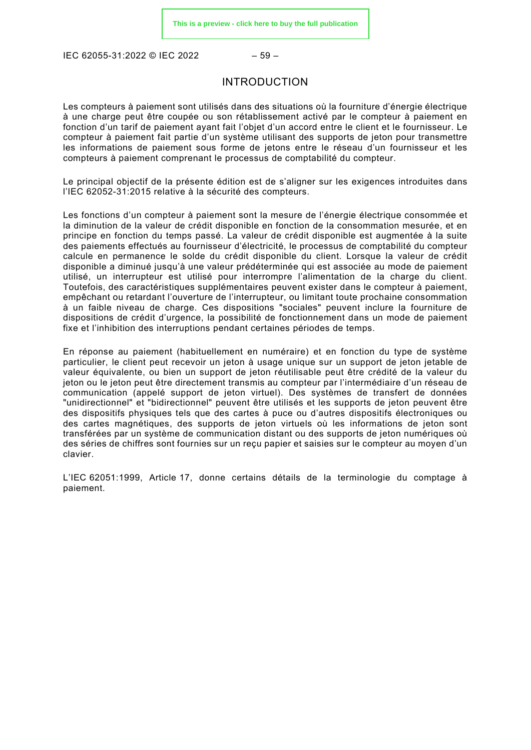<span id="page-23-0"></span>IEC 62055-31:2022 © IEC 2022 – 59 –

#### INTRODUCTION

Les compteurs à paiement sont utilisés dans des situations où la fourniture d'énergie électrique à une charge peut être coupée ou son rétablissement activé par le compteur à paiement en fonction d'un tarif de paiement ayant fait l'objet d'un accord entre le client et le fournisseur. Le compteur à paiement fait partie d'un système utilisant des supports de jeton pour transmettre les informations de paiement sous forme de jetons entre le réseau d'un fournisseur et les compteurs à paiement comprenant le processus de comptabilité du compteur.

Le principal objectif de la présente édition est de s'aligner sur les exigences introduites dans l'IEC 62052-31:2015 relative à la sécurité des compteurs.

Les fonctions d'un compteur à paiement sont la mesure de l'énergie électrique consommée et la diminution de la valeur de crédit disponible en fonction de la consommation mesurée, et en principe en fonction du temps passé. La valeur de crédit disponible est augmentée à la suite des paiements effectués au fournisseur d'électricité, le processus de comptabilité du compteur calcule en permanence le solde du crédit disponible du client. Lorsque la valeur de crédit disponible a diminué jusqu'à une valeur prédéterminée qui est associée au mode de paiement utilisé, un interrupteur est utilisé pour interrompre l'alimentation de la charge du client. Toutefois, des caractéristiques supplémentaires peuvent exister dans le compteur à paiement, empêchant ou retardant l'ouverture de l'interrupteur, ou limitant toute prochaine consommation à un faible niveau de charge. Ces dispositions "sociales" peuvent inclure la fourniture de dispositions de crédit d'urgence, la possibilité de fonctionnement dans un mode de paiement fixe et l'inhibition des interruptions pendant certaines périodes de temps.

En réponse au paiement (habituellement en numéraire) et en fonction du type de système particulier, le client peut recevoir un jeton à usage unique sur un support de jeton jetable de valeur équivalente, ou bien un support de jeton réutilisable peut être crédité de la valeur du jeton ou le jeton peut être directement transmis au compteur par l'intermédiaire d'un réseau de communication (appelé support de jeton virtuel). Des systèmes de transfert de données "unidirectionnel" et "bidirectionnel" peuvent être utilisés et les supports de jeton peuvent être des dispositifs physiques tels que des cartes à puce ou d'autres dispositifs électroniques ou des cartes magnétiques, des supports de jeton virtuels où les informations de jeton sont transférées par un système de communication distant ou des supports de jeton numériques où des séries de chiffres sont fournies sur un reçu papier et saisies sur le compteur au moyen d'un clavier.

L'IEC 62051:1999, Article 17, donne certains détails de la terminologie du comptage à paiement.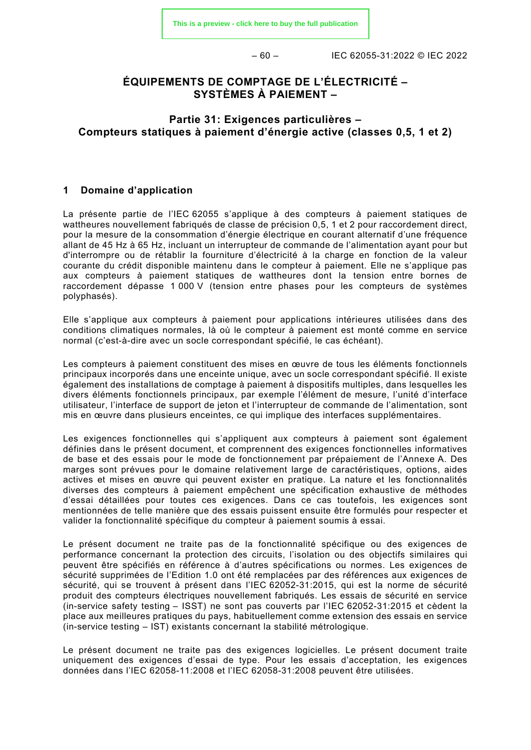– 60 – IEC 62055-31:2022 © IEC 2022

#### **ÉQUIPEMENTS DE COMPTAGE DE L'ÉLECTRICITÉ – SYSTÈMES À PAIEMENT –**

#### **Partie 31: Exigences particulières – Compteurs statiques à paiement d'énergie active (classes 0,5, 1 et 2)**

#### <span id="page-24-0"></span>**1 Domaine d'application**

La présente partie de l'IEC 62055 s'applique à des compteurs à paiement statiques de wattheures nouvellement fabriqués de classe de précision 0,5, 1 et 2 pour raccordement direct, pour la mesure de la consommation d'énergie électrique en courant alternatif d'une fréquence allant de 45 Hz à 65 Hz, incluant un interrupteur de commande de l'alimentation ayant pour but d'interrompre ou de rétablir la fourniture d'électricité à la charge en fonction de la valeur courante du crédit disponible maintenu dans le compteur à paiement. Elle ne s'applique pas aux compteurs à paiement statiques de wattheures dont la tension entre bornes de raccordement dépasse 1 000 V (tension entre phases pour les compteurs de systèmes polyphasés).

Elle s'applique aux compteurs à paiement pour applications intérieures utilisées dans des conditions climatiques normales, là où le compteur à paiement est monté comme en service normal (c'est-à-dire avec un socle correspondant spécifié, le cas échéant).

Les compteurs à paiement constituent des mises en œuvre de tous les éléments fonctionnels principaux incorporés dans une enceinte unique, avec un socle correspondant spécifié. Il existe également des installations de comptage à paiement à dispositifs multiples, dans lesquelles les divers éléments fonctionnels principaux, par exemple l'élément de mesure, l'unité d'interface utilisateur, l'interface de support de jeton et l'interrupteur de commande de l'alimentation, sont mis en œuvre dans plusieurs enceintes, ce qui implique des interfaces supplémentaires.

Les exigences fonctionnelles qui s'appliquent aux compteurs à paiement sont également définies dans le présent document, et comprennent des exigences fonctionnelles informatives de base et des essais pour le mode de fonctionnement par prépaiement de l['Annexe A.](#page--1-2) Des marges sont prévues pour le domaine relativement large de caractéristiques, options, aides actives et mises en œuvre qui peuvent exister en pratique. La nature et les fonctionnalités diverses des compteurs à paiement empêchent une spécification exhaustive de méthodes d'essai détaillées pour toutes ces exigences. Dans ce cas toutefois, les exigences sont mentionnées de telle manière que des essais puissent ensuite être formulés pour respecter et valider la fonctionnalité spécifique du compteur à paiement soumis à essai.

Le présent document ne traite pas de la fonctionnalité spécifique ou des exigences de performance concernant la protection des circuits, l'isolation ou des objectifs similaires qui peuvent être spécifiés en référence à d'autres spécifications ou normes. Les exigences de sécurité supprimées de l'Edition 1.0 ont été remplacées par des références aux exigences de sécurité, qui se trouvent à présent dans l'IEC 62052-31:2015, qui est la norme de sécurité produit des compteurs électriques nouvellement fabriqués. Les essais de sécurité en service (in-service safety testing – ISST) ne sont pas couverts par l'IEC 62052-31:2015 et cèdent la place aux meilleures pratiques du pays, habituellement comme extension des essais en service (in-service testing – IST) existants concernant la stabilité métrologique.

Le présent document ne traite pas des exigences logicielles. Le présent document traite uniquement des exigences d'essai de type. Pour les essais d'acceptation, les exigences données dans l'IEC 62058-11:2008 et l'IEC 62058-31:2008 peuvent être utilisées.